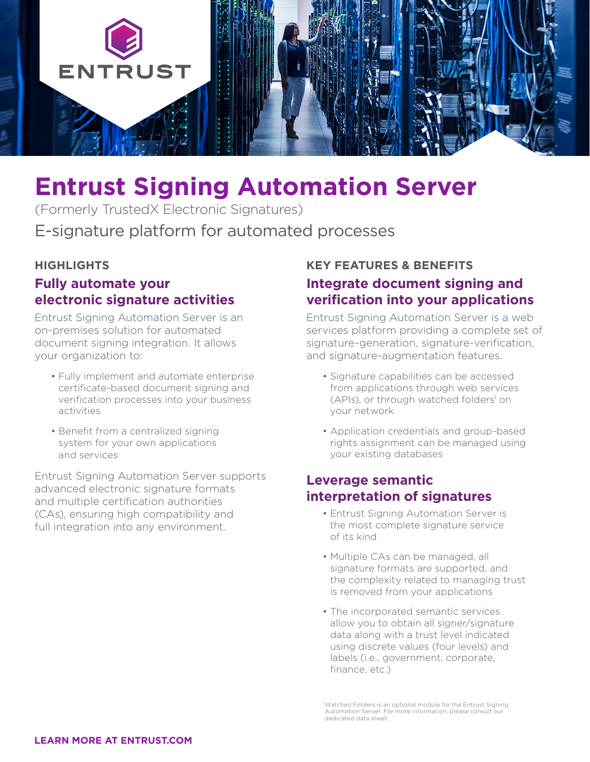

# **Entrust Signing Automation Server**

E-signature platform for automated processes (Formerly TrustedX Electronic Signatures)

#### **HIGHLIGHTS**

# **Fully automate your electronic signature activities**

Entrust Signing Automation Server is an on-premises solution for automated document signing integration. It allows your organization to:

- Fully implement and automate enterprise certificate-based document signing and verification processes into your business activities
- Benefit from a centralized signing system for your own applications and services

Entrust Signing Automation Server supports advanced electronic signature formats and multiple certification authorities (CAs), ensuring high compatibility and full integration into any environment.

# **KEY FEATURES & BENEFITS Integrate document signing and verification into your applications**

Entrust Signing Automation Server is a web services platform providing a complete set of signature-generation, signature-verification, and signature-augmentation features.

- Signature capabilities can be accessed from applications through web services (APIs), or through watched folders<sup>1</sup> on your network
- Application credentials and group-based rights assignment can be managed using your existing databases

## **Leverage semantic interpretation of signatures**

- Entrust Signing Automation Server is the most complete signature service of its kind
- Multiple CAs can be managed, all signature formats are supported, and the complexity related to managing trust is removed from your applications
- The incorporated semantic services allow you to obtain all signer/signature data along with a trust level indicated using discrete values (four levels) and labels (i.e., government, corporate, finance, etc.)

<sup>1</sup> Watched Folders is an optional module for the Entrust Signing Automation Server. For more information, please consult our dedicated data sheet.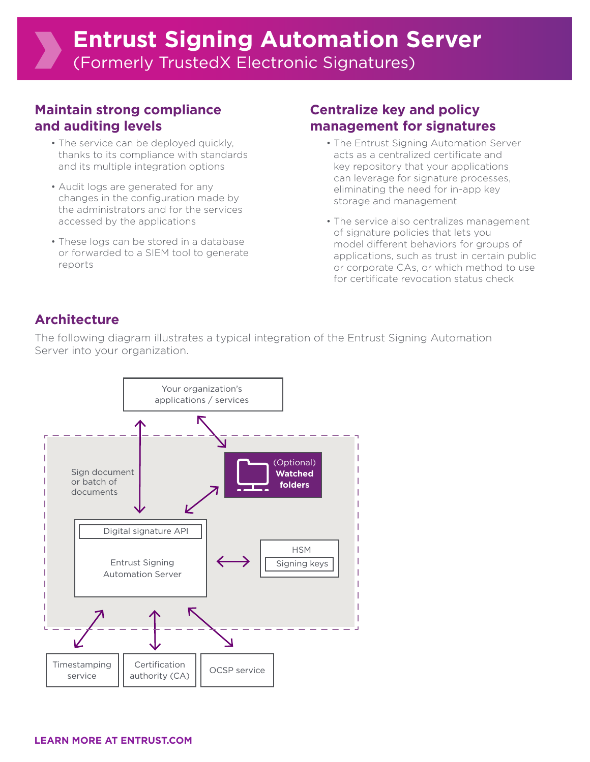## **Maintain strong compliance and auditing levels**

- The service can be deployed quickly, thanks to its compliance with standards and its multiple integration options
- Audit logs are generated for any changes in the configuration made by the administrators and for the services accessed by the applications
- These logs can be stored in a database or forwarded to a SIEM tool to generate reports

# **Centralize key and policy management for signatures**

- The Entrust Signing Automation Server acts as a centralized certificate and key repository that your applications can leverage for signature processes, eliminating the need for in-app key storage and management
- The service also centralizes management of signature policies that lets you model different behaviors for groups of applications, such as trust in certain public or corporate CAs, or which method to use for certificate revocation status check

# **Architecture**

The following diagram illustrates a typical integration of the Entrust Signing Automation Server into your organization.

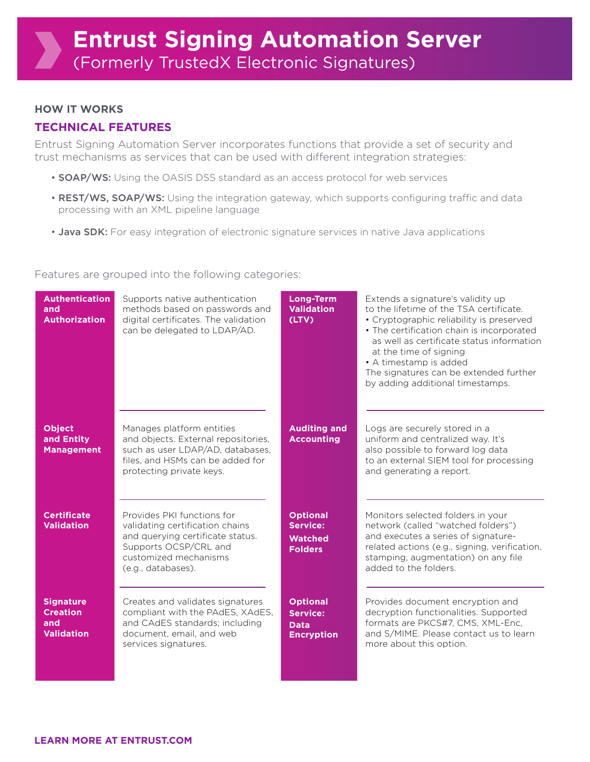#### **HOW IT WORKS**

## **TECHNICAL FEATURES**

Entrust Signing Automation Server incorporates functions that provide a set of security and trust mechanisms as services that can be used with different integration strategies:

- **SOAP/WS:** Using the OASIS DSS standard as an access protocol for web services
- REST/WS, SOAP/WS: Using the integration gateway, which supports configuring traffic and data processing with an XML pipeline language
- Java SDK: For easy integration of electronic signature services in native Java applications

#### Features are grouped into the following categories:

| <b>Authentication</b><br>and<br><b>Authorization</b>            | Supports native authentication<br>methods based on passwords and<br>digital certificates. The validation<br>can be delegated to LDAP/AD.                                  | <b>Long-Term</b><br><b>Validation</b><br>(LTV)                         | Extends a signature's validity up<br>to the lifetime of the TSA certificate.<br>• Cryptographic reliability is preserved<br>• The certification chain is incorporated<br>as well as certificate status information<br>at the time of signing<br>• A timestamp is added<br>The signatures can be extended further<br>by adding additional timestamps. |
|-----------------------------------------------------------------|---------------------------------------------------------------------------------------------------------------------------------------------------------------------------|------------------------------------------------------------------------|------------------------------------------------------------------------------------------------------------------------------------------------------------------------------------------------------------------------------------------------------------------------------------------------------------------------------------------------------|
| <b>Object</b><br>and Entity<br><b>Management</b>                | Manages platform entities<br>and objects. External repositories,<br>such as user LDAP/AD, databases,<br>files, and HSMs can be added for<br>protecting private keys.      | <b>Auditing and</b><br><b>Accounting</b>                               | Logs are securely stored in a<br>uniform and centralized way. It's<br>also possible to forward log data<br>to an external SIEM tool for processing<br>and generating a report.                                                                                                                                                                       |
| <b>Certificate</b><br><b>Validation</b>                         | Provides PKI functions for<br>validating certification chains<br>and querying certificate status.<br>Supports OCSP/CRL and<br>customized mechanisms<br>(e.g., databases). | <b>Optional</b><br>Service:<br><b>Watched</b><br><b>Folders</b>        | Monitors selected folders in your<br>network (called "watched folders")<br>and executes a series of signature-<br>related actions (e.g., signing, verification,<br>stamping, augmentation) on any file<br>added to the folders.                                                                                                                      |
| <b>Signature</b><br><b>Creation</b><br>and<br><b>Validation</b> | Creates and validates signatures<br>compliant with the PAdES, XAdES,<br>and CAdES standards; including<br>document, email, and web<br>services signatures.                | <b>Optional</b><br><b>Service:</b><br><b>Data</b><br><b>Encryption</b> | Provides document encryption and<br>decryption functionalities. Supported<br>formats are PKCS#7, CMS, XML-Enc,<br>and S/MIME. Please contact us to learn<br>more about this option.                                                                                                                                                                  |